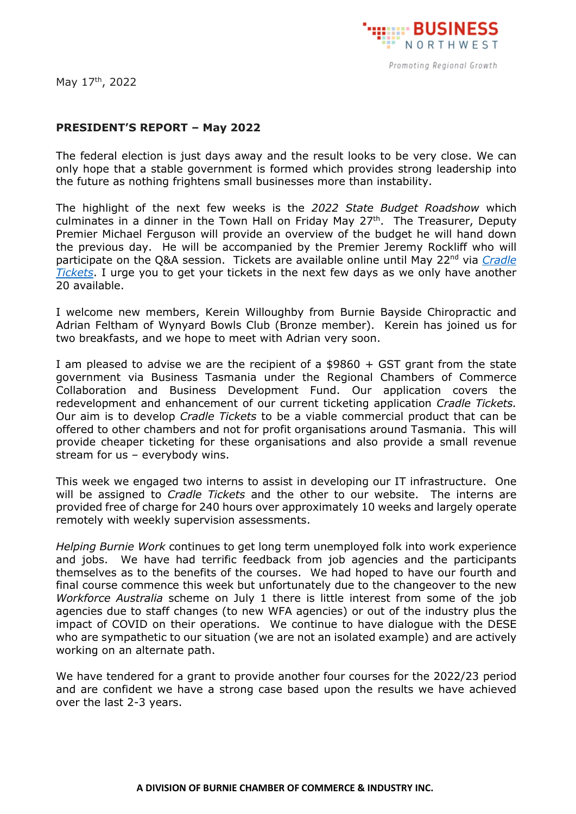

May 17<sup>th</sup>, 2022

## **PRESIDENT'S REPORT – May 2022**

The federal election is just days away and the result looks to be very close. We can only hope that a stable government is formed which provides strong leadership into the future as nothing frightens small businesses more than instability.

The highlight of the next few weeks is the *2022 State Budget Roadshow* which culminates in a dinner in the Town Hall on Friday May  $27<sup>th</sup>$ . The Treasurer, Deputy Premier Michael Ferguson will provide an overview of the budget he will hand down the previous day. He will be accompanied by the Premier Jeremy Rockliff who will participate on the Q&A session. Tickets are available online until May 22<sup>nd</sup> via *Cradle [Tickets](https://cradletickets.com/event1/2022statebudget/)*. I urge you to get your tickets in the next few days as we only have another 20 available.

I welcome new members, Kerein Willoughby from Burnie Bayside Chiropractic and Adrian Feltham of Wynyard Bowls Club (Bronze member). Kerein has joined us for two breakfasts, and we hope to meet with Adrian very soon.

I am pleased to advise we are the recipient of a \$9860 + GST grant from the state government via Business Tasmania under the Regional Chambers of Commerce Collaboration and Business Development Fund. Our application covers the redevelopment and enhancement of our current ticketing application *Cradle Tickets.* Our aim is to develop *Cradle Tickets* to be a viable commercial product that can be offered to other chambers and not for profit organisations around Tasmania. This will provide cheaper ticketing for these organisations and also provide a small revenue stream for us – everybody wins.

This week we engaged two interns to assist in developing our IT infrastructure. One will be assigned to *Cradle Tickets* and the other to our website. The interns are provided free of charge for 240 hours over approximately 10 weeks and largely operate remotely with weekly supervision assessments.

*Helping Burnie Work* continues to get long term unemployed folk into work experience and jobs. We have had terrific feedback from job agencies and the participants themselves as to the benefits of the courses. We had hoped to have our fourth and final course commence this week but unfortunately due to the changeover to the new *Workforce Australia* scheme on July 1 there is little interest from some of the job agencies due to staff changes (to new WFA agencies) or out of the industry plus the impact of COVID on their operations. We continue to have dialogue with the DESE who are sympathetic to our situation (we are not an isolated example) and are actively working on an alternate path.

We have tendered for a grant to provide another four courses for the 2022/23 period and are confident we have a strong case based upon the results we have achieved over the last 2-3 years.